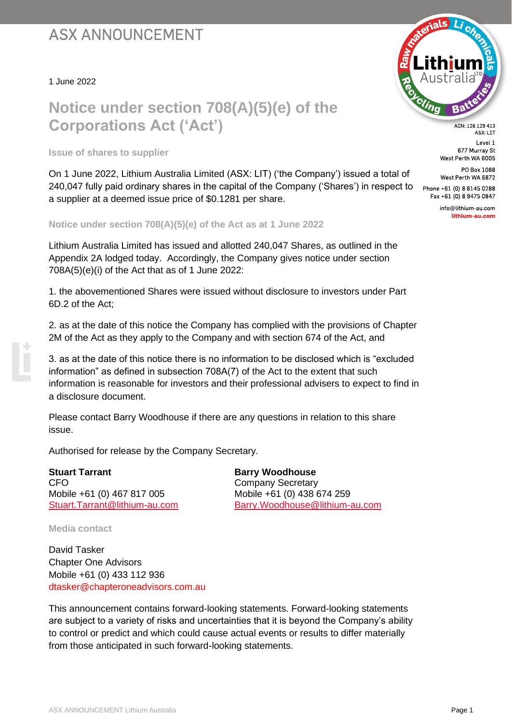## **ASX ANNOUNCEMENT**

1 June 2022

## **Notice under section 708(A)(5)(e) of the Corporations Act ('Act')**

**Issue of shares to supplier**

On 1 June 2022, Lithium Australia Limited (ASX: LIT) ('the Company') issued a total of 240,047 fully paid ordinary shares in the capital of the Company ('Shares') in respect to a supplier at a deemed issue price of \$0.1281 per share.

**Notice under section 708(A)(5)(e) of the Act as at 1 June 2022**

Lithium Australia Limited has issued and allotted 240,047 Shares, as outlined in the Appendix 2A lodged today. Accordingly, the Company gives notice under section  $708A(5)(e)(i)$  of the Act that as of 1 June 2022:

1. the abovementioned Shares were issued without disclosure to investors under Part 6D.2 of the Act;

2. as at the date of this notice the Company has complied with the provisions of Chapter 2M of the Act as they apply to the Company and with section 674 of the Act, and

3. as at the date of this notice there is no information to be disclosed which is "excluded information" as defined in subsection 708A(7) of the Act to the extent that such information is reasonable for investors and their professional advisers to expect to find in a disclosure document.

Please contact Barry Woodhouse if there are any questions in relation to this share issue.

Authorised for release by the Company Secretary.

**Stuart Tarrant Barry Woodhouse Barry Woodhouse** CFO COMPANY Secretary Mobile +61 (0) 467 817 005 Mobile +61 (0) 438 674 259

[Stuart.Tarrant@lithium-au.com](mailto:Stuart.Tarrant@lithium-au.com) [Barry.Woodhouse@lithium-au.com](mailto:Barry.Woodhouse@lithium-au.com)

**Media contact**

David Tasker Chapter One Advisors Mobile +61 (0) 433 112 936 [dtasker@chapteroneadvisors.com.au](mailto:dtasker@chapteroneadvisors.com.au)

This announcement contains forward-looking statements. Forward-looking statements are subject to a variety of risks and uncertainties that it is beyond the Company's ability to control or predict and which could cause actual events or results to differ materially from those anticipated in such forward-looking statements.



ACN: 126 129 413 ASX: LIT Level 1 677 Murray St West Perth WA 6005

PO Box 1088 West Perth WA 6872 Phone +61 (0) 8 6145 0288

Fax +61 (0) 8 9475 0847 info@lithium-au.com lithium-au.com